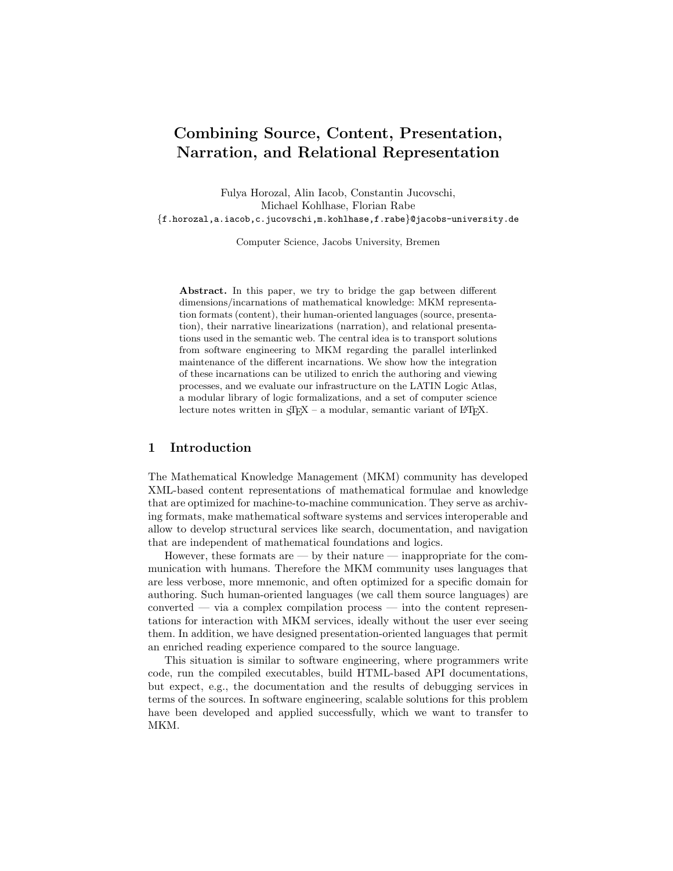# Combining Source, Content, Presentation, Narration, and Relational Representation

Fulya Horozal, Alin Iacob, Constantin Jucovschi, Michael Kohlhase, Florian Rabe

{f.horozal,a.iacob,c.jucovschi,m.kohlhase,f.rabe}@jacobs-university.de

Computer Science, Jacobs University, Bremen

Abstract. In this paper, we try to bridge the gap between different dimensions/incarnations of mathematical knowledge: MKM representation formats (content), their human-oriented languages (source, presentation), their narrative linearizations (narration), and relational presentations used in the semantic web. The central idea is to transport solutions from software engineering to MKM regarding the parallel interlinked maintenance of the different incarnations. We show how the integration of these incarnations can be utilized to enrich the authoring and viewing processes, and we evaluate our infrastructure on the LATIN Logic Atlas, a modular library of logic formalizations, and a set of computer science lecture notes written in  $SIFX - a$  modular, semantic variant of L<sup>AT</sup>EX.

# 1 Introduction

The Mathematical Knowledge Management (MKM) community has developed XML-based content representations of mathematical formulae and knowledge that are optimized for machine-to-machine communication. They serve as archiving formats, make mathematical software systems and services interoperable and allow to develop structural services like search, documentation, and navigation that are independent of mathematical foundations and logics.

However, these formats are — by their nature — inappropriate for the communication with humans. Therefore the MKM community uses languages that are less verbose, more mnemonic, and often optimized for a specific domain for authoring. Such human-oriented languages (we call them source languages) are converted — via a complex compilation process — into the content representations for interaction with MKM services, ideally without the user ever seeing them. In addition, we have designed presentation-oriented languages that permit an enriched reading experience compared to the source language.

This situation is similar to software engineering, where programmers write code, run the compiled executables, build HTML-based API documentations, but expect, e.g., the documentation and the results of debugging services in terms of the sources. In software engineering, scalable solutions for this problem have been developed and applied successfully, which we want to transfer to MKM.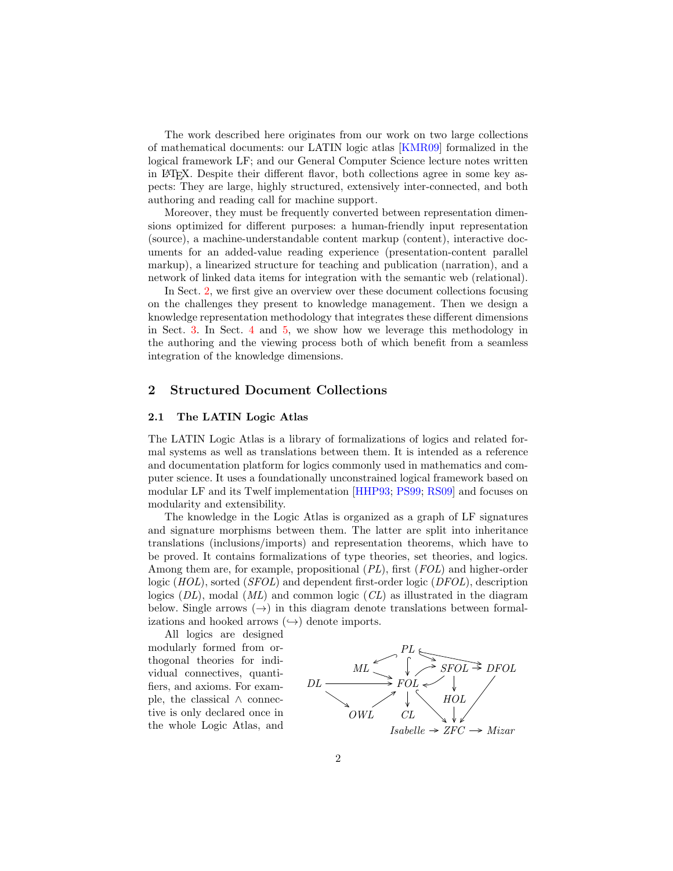The work described here originates from our work on two large collections of mathematical documents: our LATIN logic atlas [\[KMR09\]](#page-13-0) formalized in the logical framework LF; and our General Computer Science lecture notes written in LATEX. Despite their different flavor, both collections agree in some key aspects: They are large, highly structured, extensively inter-connected, and both authoring and reading call for machine support.

Moreover, they must be frequently converted between representation dimensions optimized for different purposes: a human-friendly input representation (source), a machine-understandable content markup (content), interactive documents for an added-value reading experience (presentation-content parallel markup), a linearized structure for teaching and publication (narration), and a network of linked data items for integration with the semantic web (relational).

In Sect. [2,](#page-1-0) we first give an overview over these document collections focusing on the challenges they present to knowledge management. Then we design a knowledge representation methodology that integrates these different dimensions in Sect. [3.](#page-3-0) In Sect. [4](#page-8-0) and [5,](#page-10-0) we show how we leverage this methodology in the authoring and the viewing process both of which benefit from a seamless integration of the knowledge dimensions.

# <span id="page-1-0"></span>2 Structured Document Collections

## 2.1 The LATIN Logic Atlas

The LATIN Logic Atlas is a library of formalizations of logics and related formal systems as well as translations between them. It is intended as a reference and documentation platform for logics commonly used in mathematics and computer science. It uses a foundationally unconstrained logical framework based on modular LF and its Twelf implementation [\[HHP93;](#page-13-1) [PS99;](#page-14-0) [RS09\]](#page-14-1) and focuses on modularity and extensibility.

The knowledge in the Logic Atlas is organized as a graph of LF signatures and signature morphisms between them. The latter are split into inheritance translations (inclusions/imports) and representation theorems, which have to be proved. It contains formalizations of type theories, set theories, and logics. Among them are, for example, propositional  $(PL)$ , first  $(FOL)$  and higher-order logic (HOL), sorted (SFOL) and dependent first-order logic (DFOL), description logics  $(DL)$ , modal  $(ML)$  and common logic  $(CL)$  as illustrated in the diagram below. Single arrows  $(\rightarrow)$  in this diagram denote translations between formalizations and hooked arrows  $(\rightarrow)$  denote imports.

All logics are designed modularly formed from orthogonal theories for individual connectives, quantifiers, and axioms. For example, the classical ∧ connective is only declared once in the whole Logic Atlas, and

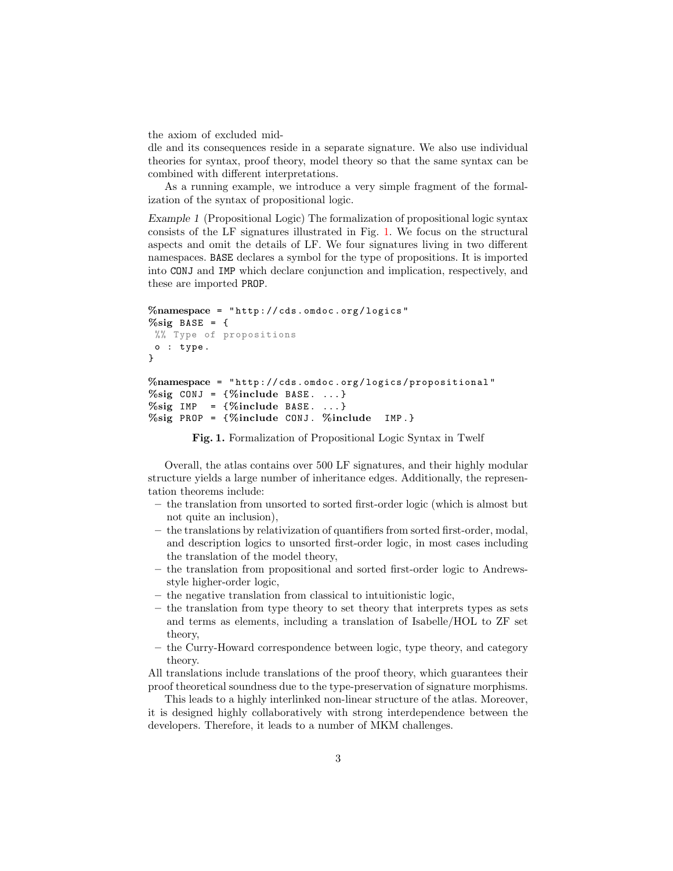the axiom of excluded mid-

dle and its consequences reside in a separate signature. We also use individual theories for syntax, proof theory, model theory so that the same syntax can be combined with different interpretations.

As a running example, we introduce a very simple fragment of the formalization of the syntax of propositional logic.

<span id="page-2-1"></span>Example 1 (Propositional Logic) The formalization of propositional logic syntax consists of the LF signatures illustrated in Fig. [1.](#page-2-0) We focus on the structural aspects and omit the details of LF. We four signatures living in two different namespaces. BASE declares a symbol for the type of propositions. It is imported into CONJ and IMP which declare conjunction and implication, respectively, and these are imported PROP.

```
%namespace = " http : // cds . omdoc . org / logics "
\%sig BASE = {
 %% Type of propositions
 o : type .
}
```

```
%namespace = " http : // cds . omdoc . org / logics / propositional "
\%sig CONJ = {\%include BASE. ...}
\%sig IMP = {\%include BASE. ...}
%sig PROP = {%include CONJ . %include IMP . }
```
<span id="page-2-0"></span>Fig. 1. Formalization of Propositional Logic Syntax in Twelf

Overall, the atlas contains over 500 LF signatures, and their highly modular structure yields a large number of inheritance edges. Additionally, the representation theorems include:

- the translation from unsorted to sorted first-order logic (which is almost but not quite an inclusion),
- the translations by relativization of quantifiers from sorted first-order, modal, and description logics to unsorted first-order logic, in most cases including the translation of the model theory,
- the translation from propositional and sorted first-order logic to Andrewsstyle higher-order logic,
- the negative translation from classical to intuitionistic logic,
- the translation from type theory to set theory that interprets types as sets and terms as elements, including a translation of Isabelle/HOL to ZF set theory,
- the Curry-Howard correspondence between logic, type theory, and category theory.

All translations include translations of the proof theory, which guarantees their proof theoretical soundness due to the type-preservation of signature morphisms.

This leads to a highly interlinked non-linear structure of the atlas. Moreover, it is designed highly collaboratively with strong interdependence between the developers. Therefore, it leads to a number of MKM challenges.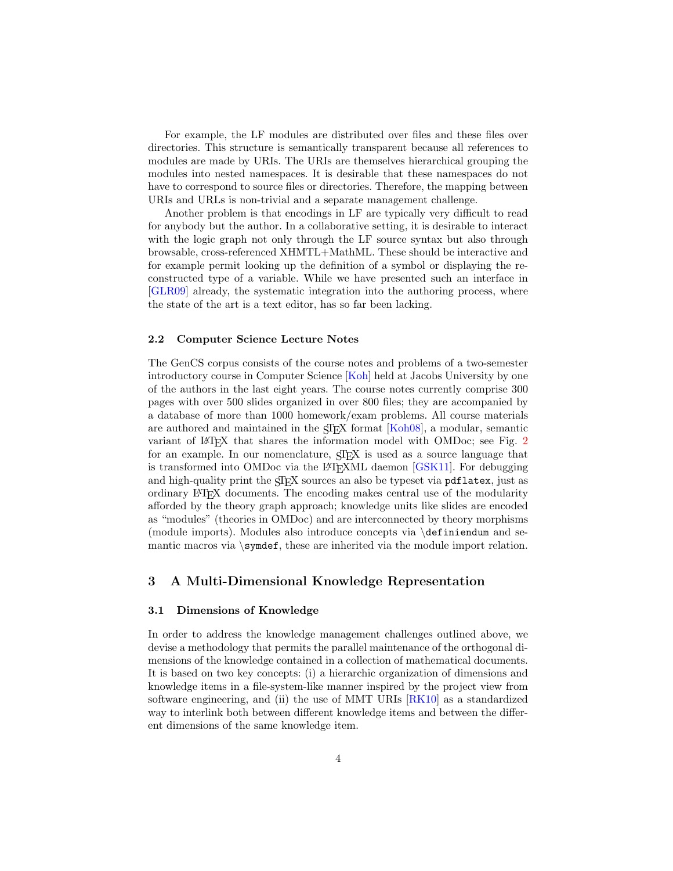For example, the LF modules are distributed over files and these files over directories. This structure is semantically transparent because all references to modules are made by URIs. The URIs are themselves hierarchical grouping the modules into nested namespaces. It is desirable that these namespaces do not have to correspond to source files or directories. Therefore, the mapping between URIs and URLs is non-trivial and a separate management challenge.

Another problem is that encodings in LF are typically very difficult to read for anybody but the author. In a collaborative setting, it is desirable to interact with the logic graph not only through the LF source syntax but also through browsable, cross-referenced XHMTL+MathML. These should be interactive and for example permit looking up the definition of a symbol or displaying the reconstructed type of a variable. While we have presented such an interface in [\[GLR09\]](#page-13-2) already, the systematic integration into the authoring process, where the state of the art is a text editor, has so far been lacking.

## 2.2 Computer Science Lecture Notes

The GenCS corpus consists of the course notes and problems of a two-semester introductory course in Computer Science [\[Koh\]](#page-13-3) held at Jacobs University by one of the authors in the last eight years. The course notes currently comprise 300 pages with over 500 slides organized in over 800 files; they are accompanied by a database of more than 1000 homework/exam problems. All course materials are authored and maintained in the STEX format [\[Koh08\]](#page-13-4), a modular, semantic variant of LAT<sub>E</sub>X that shares the information model with OMDoc; see Fig. [2](#page-4-0) for an example. In our nomenclature,  $\langle \text{Tr} X \rangle$  is used as a source language that is transformed into OMDoc via the LAT<sub>EXML</sub> daemon [\[GSK11\]](#page-13-5). For debugging and high-quality print the  $SIFX$  sources an also be typeset via pdflatex, just as ordinary LATEX documents. The encoding makes central use of the modularity afforded by the theory graph approach; knowledge units like slides are encoded as "modules" (theories in OMDoc) and are interconnected by theory morphisms (module imports). Modules also introduce concepts via \definiendum and semantic macros via \symdef, these are inherited via the module import relation.

# <span id="page-3-0"></span>3 A Multi-Dimensional Knowledge Representation

## <span id="page-3-1"></span>3.1 Dimensions of Knowledge

In order to address the knowledge management challenges outlined above, we devise a methodology that permits the parallel maintenance of the orthogonal dimensions of the knowledge contained in a collection of mathematical documents. It is based on two key concepts: (i) a hierarchic organization of dimensions and knowledge items in a file-system-like manner inspired by the project view from software engineering, and (ii) the use of MMT URIs [\[RK10\]](#page-14-2) as a standardized way to interlink both between different knowledge items and between the different dimensions of the same knowledge item.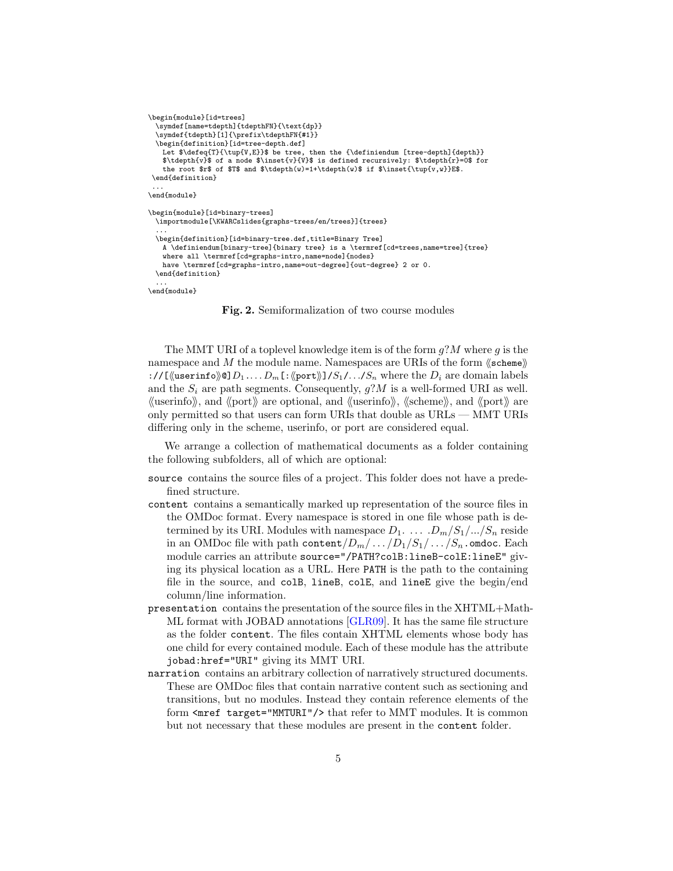```
\begin{module}[id=trees]
  \symdef[name=tdepth]{tdepthFN}{\text{dp}}
  \symdef{tdepth}[1]{\prefix\tdepthFN{#1}}
  \begin{definition}[id=tree-depth.def]
    Let $\defeq{T}{\tup{V,E}}$ be tree, then the {\definiendum [tree-depth]{depth}}
$\tdepth{v}$ of a node $\inset{v}{V}$ is defined recursively: $\tdepth{r}=0$ for
   the root r of T and \t{w=1+\tdepth(w) if \in\{\t{tup\{v,w\}\}\}\.
\end{definition}
 ...
\end{module}
\begin{module}[id=binary-trees]
  \importmodule[\KWARCslides{graphs-trees/en/trees}]{trees}
  ...
\begin{definition}[id=binary-tree.def,title=Binary Tree]
   A \definiendum[binary-tree]{binary tree} is a \termref[cd=trees,name=tree]{tree}
   where all \termref[cd=graphs-intro,name=node]{nodes}
   have \termref[cd=graphs-intro,name=out-degree]{out-degree} 2 or 0.
  \end{definition}
```
... \end{module}

<span id="page-4-0"></span>Fig. 2. Semiformalization of two course modules

The MMT URI of a toplevel knowledge item is of the form  $g^2M$  where g is the namespace and  $M$  the module name. Namespaces are URIs of the form  $\langle\texttt{scheme}\rangle$ ://[ $\langle \text{userinfo}\rangle 0] D_1 \ldots D_m$ [: $\langle \text{port}\rangle$ ]/ $S_1/\ldots/S_n$  where the  $D_i$  are domain labels and the  $S_i$  are path segments. Consequently,  $q^2M$  is a well-formed URI as well.  $\langle\!\langle \text{userinfo} \rangle\!\rangle$ , and  $\langle \text{port} \rangle\!\rangle$  are optional, and  $\langle \text{userinfo} \rangle\!\rangle$ ,  $\langle \text{scheme} \rangle\!\rangle$ , and  $\langle \text{port} \rangle\!\rangle$  are only permitted so that users can form URIs that double as URLs — MMT URIs differing only in the scheme, userinfo, or port are considered equal.

We arrange a collection of mathematical documents as a folder containing the following subfolders, all of which are optional:

- source contains the source files of a project. This folder does not have a predefined structure.
- content contains a semantically marked up representation of the source files in the OMDoc format. Every namespace is stored in one file whose path is determined by its URI. Modules with namespace  $D_1$ . . . . .  $D_m/S_1/.../S_n$  reside in an OMDoc file with path content $/D_m / ... / D_1 / S_1 / ... / S_n$ . omdoc. Each module carries an attribute source="/PATH?colB:lineB-colE:lineE" giving its physical location as a URL. Here PATH is the path to the containing file in the source, and colB, lineB, colE, and lineE give the begin/end column/line information.
- presentation contains the presentation of the source files in the XHTML+Math-ML format with JOBAD annotations [\[GLR09\]](#page-13-2). It has the same file structure as the folder content. The files contain XHTML elements whose body has one child for every contained module. Each of these module has the attribute jobad:href="URI" giving its MMT URI.
- narration contains an arbitrary collection of narratively structured documents. These are OMDoc files that contain narrative content such as sectioning and transitions, but no modules. Instead they contain reference elements of the form <mref target="MMTURI"/> that refer to MMT modules. It is common but not necessary that these modules are present in the content folder.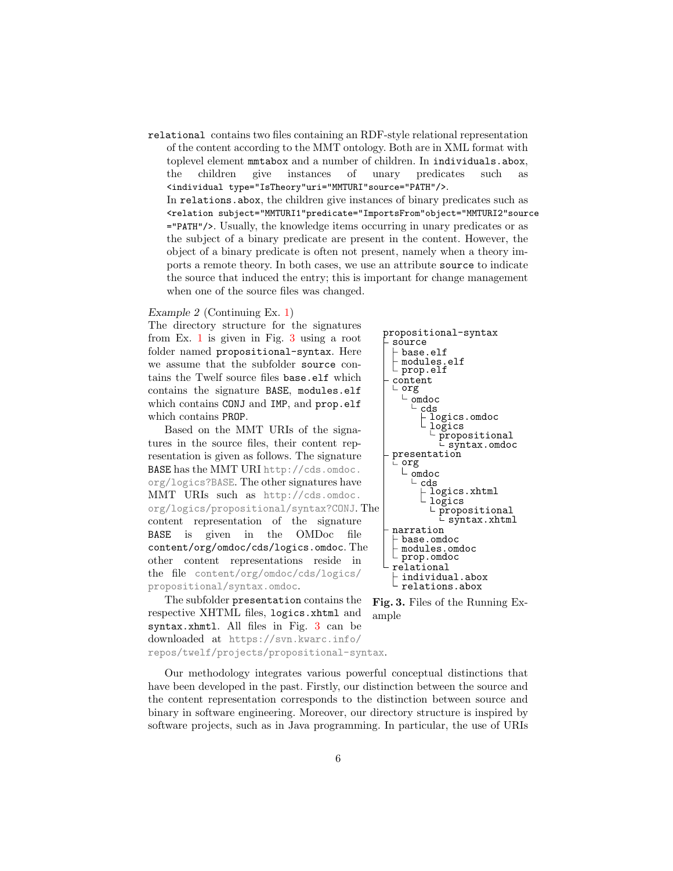relational contains two files containing an RDF-style relational representation of the content according to the MMT ontology. Both are in XML format with toplevel element mmtabox and a number of children. In individuals.abox, the children give instances of unary predicates such <individual type="IsTheory"uri="MMTURI"source="PATH"/>. In relations.abox, the children give instances of binary predicates such as <relation subject="MMTURI1"predicate="ImportsFrom"object="MMTURI2"source ="PATH"/>. Usually, the knowledge items occurring in unary predicates or as the subject of a binary predicate are present in the content. However, the object of a binary predicate is often not present, namely when a theory imports a remote theory. In both cases, we use an attribute source to indicate the source that induced the entry; this is important for change management when one of the source files was changed.

#### <span id="page-5-1"></span>Example 2 (Continuing Ex. [1\)](#page-2-1)

The directory structure for the signatures from Ex. [1](#page-2-1) is given in Fig. [3](#page-5-0) using a root folder named propositional-syntax. Here we assume that the subfolder source contains the Twelf source files base.elf which contains the signature BASE, modules.elf which contains CONJ and IMP, and prop.elf which contains PROP.

Based on the MMT URIs of the signatures in the source files, their content representation is given as follows. The signature BASE has the MMT URI [http://cds.omdoc.](http://cds.omdoc.org/logics?BASE) [org/logics?BASE](http://cds.omdoc.org/logics?BASE). The other signatures have MMT URIs such as [http://cds.omdoc.](http://cds.omdoc.org/logics/propositional/syntax?CONJ) [org/logics/propositional/syntax?CONJ](http://cds.omdoc.org/logics/propositional/syntax?CONJ). The content representation of the signature BASE is given in the OMDoc file content/org/omdoc/cds/logics.omdoc. The other content representations reside in the file [content/org/omdoc/cds/logics/](content/org/omdoc/cds/logics/propositional/syntax.omdoc) [propositional/syntax.omdoc](content/org/omdoc/cds/logics/propositional/syntax.omdoc).

```
propositional-syntax
 source
  \vdash <code>base.elf</code>
    modules.elf
prop.elf
 content
 L org
   L omdoc
     - cds
          logics.omdoc
          logics
           propositional
             syntax.omdoc
 presentation
 org
   L omdoc
       cds
        logics.xhtml
       \lceil \frac{1}{2} \rceilL propositional
           syntax.xhtml
 narration
   base.omdoc
   modules.omdoc
   prop.omdoc
 relational
   individual.abox
   relations.abox
```
The subfolder presentation contains the respective XHTML files, logics.xhtml and syntax.xhmtl. All files in Fig. [3](#page-5-0) can be downloaded at [https://svn.kwarc.info/](https://svn.kwarc.info/repos/twelf/projects/propositional-syntax) [repos/twelf/projects/propositional-syntax](https://svn.kwarc.info/repos/twelf/projects/propositional-syntax).

<span id="page-5-0"></span>Fig. 3. Files of the Running Example

Our methodology integrates various powerful conceptual distinctions that have been developed in the past. Firstly, our distinction between the source and the content representation corresponds to the distinction between source and binary in software engineering. Moreover, our directory structure is inspired by software projects, such as in Java programming. In particular, the use of URIs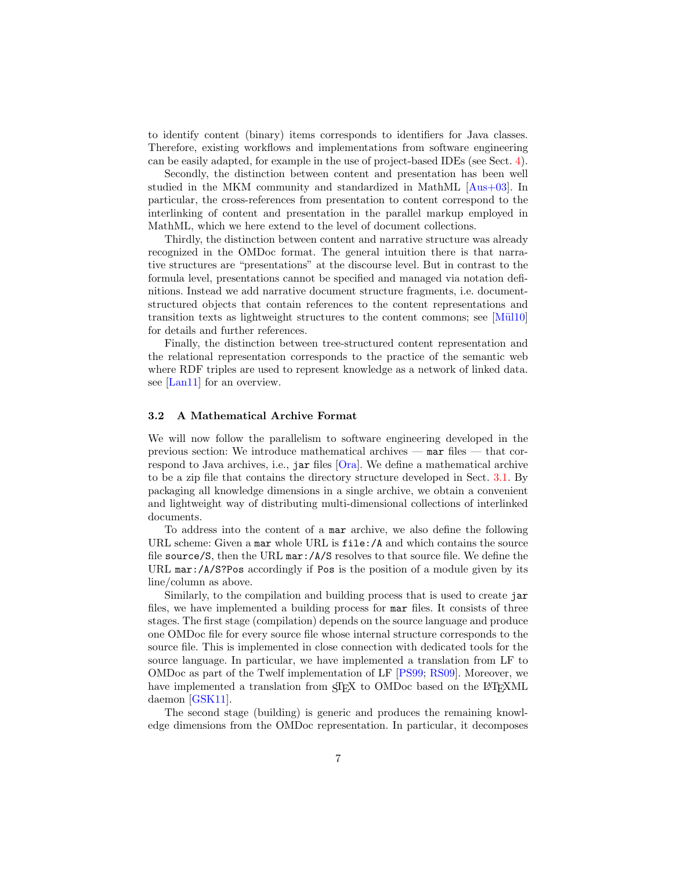to identify content (binary) items corresponds to identifiers for Java classes. Therefore, existing workflows and implementations from software engineering can be easily adapted, for example in the use of project-based IDEs (see Sect. [4\)](#page-8-0).

Secondly, the distinction between content and presentation has been well studied in the MKM community and standardized in MathML [\[Aus+03\]](#page-12-0). In particular, the cross-references from presentation to content correspond to the interlinking of content and presentation in the parallel markup employed in MathML, which we here extend to the level of document collections.

Thirdly, the distinction between content and narrative structure was already recognized in the OMDoc format. The general intuition there is that narrative structures are "presentations" at the discourse level. But in contrast to the formula level, presentations cannot be specified and managed via notation definitions. Instead we add narrative document structure fragments, i.e. documentstructured objects that contain references to the content representations and transition texts as lightweight structures to the content commons; see  $[Mü110]$ for details and further references.

Finally, the distinction between tree-structured content representation and the relational representation corresponds to the practice of the semantic web where RDF triples are used to represent knowledge as a network of linked data. see [\[Lan11\]](#page-14-4) for an overview.

## <span id="page-6-0"></span>3.2 A Mathematical Archive Format

We will now follow the parallelism to software engineering developed in the previous section: We introduce mathematical archives —  $\text{mar}$  files — that correspond to Java archives, i.e., jar files [\[Ora\]](#page-14-5). We define a mathematical archive to be a zip file that contains the directory structure developed in Sect. [3.1.](#page-3-1) By packaging all knowledge dimensions in a single archive, we obtain a convenient and lightweight way of distributing multi-dimensional collections of interlinked documents.

To address into the content of a mar archive, we also define the following URL scheme: Given a mar whole URL is file:/A and which contains the source file source/S, then the URL mar:/A/S resolves to that source file. We define the URL mar:/A/S?Pos accordingly if Pos is the position of a module given by its line/column as above.

Similarly, to the compilation and building process that is used to create jar files, we have implemented a building process for mar files. It consists of three stages. The first stage (compilation) depends on the source language and produce one OMDoc file for every source file whose internal structure corresponds to the source file. This is implemented in close connection with dedicated tools for the source language. In particular, we have implemented a translation from LF to OMDoc as part of the Twelf implementation of LF [\[PS99;](#page-14-0) [RS09\]](#page-14-1). Moreover, we have implemented a translation from  $\langle T$ FX to OMDoc based on the L<sup>AT</sup>FXML daemon [\[GSK11\]](#page-13-5).

The second stage (building) is generic and produces the remaining knowledge dimensions from the OMDoc representation. In particular, it decomposes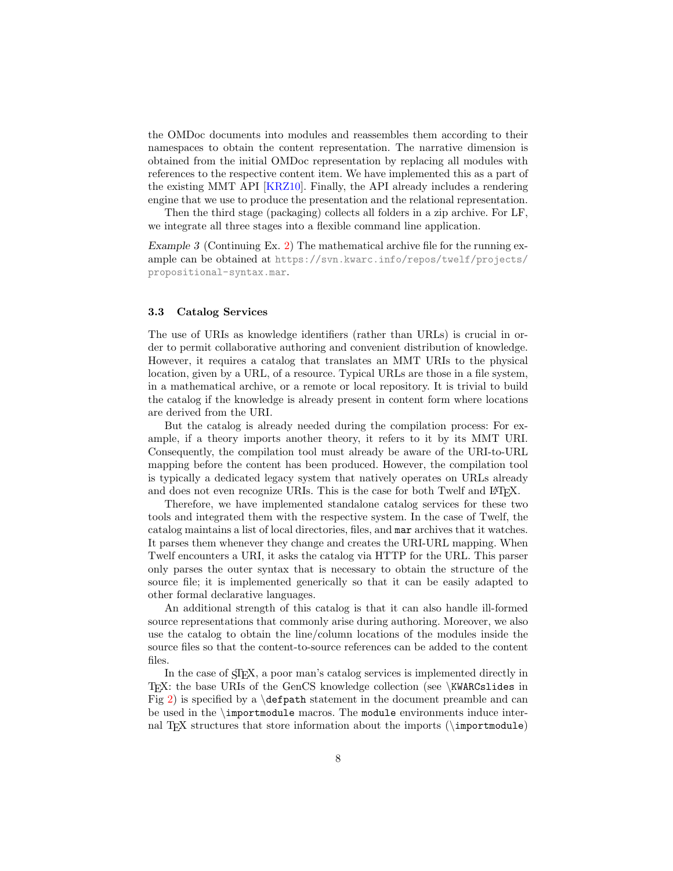the OMDoc documents into modules and reassembles them according to their namespaces to obtain the content representation. The narrative dimension is obtained from the initial OMDoc representation by replacing all modules with references to the respective content item. We have implemented this as a part of the existing MMT API [\[KRZ10\]](#page-13-6). Finally, the API already includes a rendering engine that we use to produce the presentation and the relational representation.

Then the third stage (packaging) collects all folders in a zip archive. For LF, we integrate all three stages into a flexible command line application.

Example 3 (Continuing Ex. [2\)](#page-5-1) The mathematical archive file for the running example can be obtained at [https://svn.kwarc.info/repos/twelf/projects/](https://svn.kwarc.info/repos/twelf/projects/propositional-syntax.mar) [propositional-syntax.mar](https://svn.kwarc.info/repos/twelf/projects/propositional-syntax.mar).

#### 3.3 Catalog Services

The use of URIs as knowledge identifiers (rather than URLs) is crucial in order to permit collaborative authoring and convenient distribution of knowledge. However, it requires a catalog that translates an MMT URIs to the physical location, given by a URL, of a resource. Typical URLs are those in a file system, in a mathematical archive, or a remote or local repository. It is trivial to build the catalog if the knowledge is already present in content form where locations are derived from the URI.

But the catalog is already needed during the compilation process: For example, if a theory imports another theory, it refers to it by its MMT URI. Consequently, the compilation tool must already be aware of the URI-to-URL mapping before the content has been produced. However, the compilation tool is typically a dedicated legacy system that natively operates on URLs already and does not even recognize URIs. This is the case for both Twelf and L<sup>AT</sup>FX.

Therefore, we have implemented standalone catalog services for these two tools and integrated them with the respective system. In the case of Twelf, the catalog maintains a list of local directories, files, and mar archives that it watches. It parses them whenever they change and creates the URI-URL mapping. When Twelf encounters a URI, it asks the catalog via HTTP for the URL. This parser only parses the outer syntax that is necessary to obtain the structure of the source file; it is implemented generically so that it can be easily adapted to other formal declarative languages.

An additional strength of this catalog is that it can also handle ill-formed source representations that commonly arise during authoring. Moreover, we also use the catalog to obtain the line/column locations of the modules inside the source files so that the content-to-source references can be added to the content files.

In the case of STEX, a poor man's catalog services is implemented directly in TEX: the base URIs of the GenCS knowledge collection (see \KWARCslides in Fig [2\)](#page-4-0) is specified by a  $defpath statement$  in the document preamble and can be used in the \importmodule macros. The module environments induce internal T<sub>E</sub>X structures that store information about the imports  $(\infty)$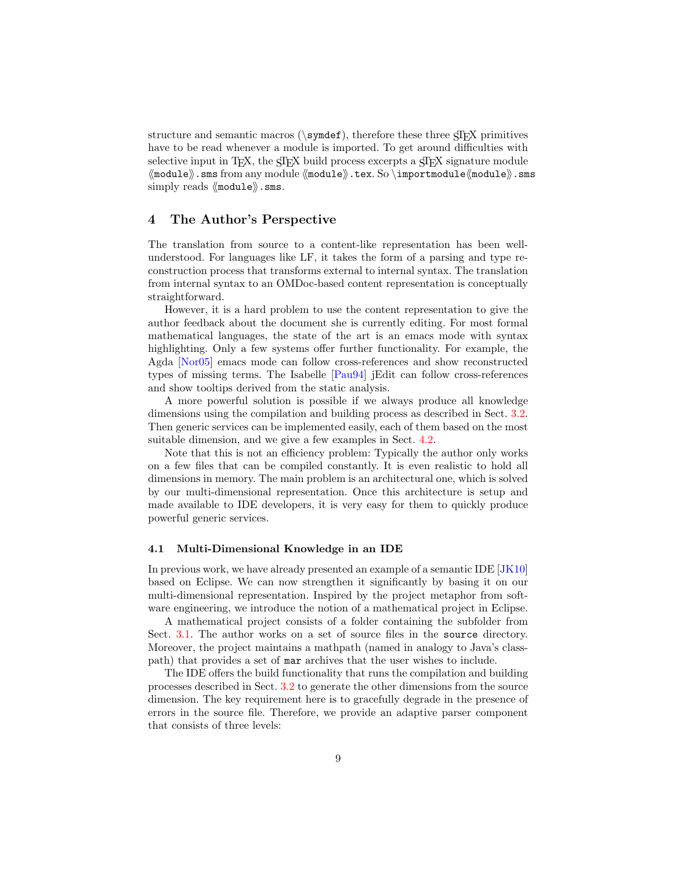structure and semantic macros ( $\symdef$ ), therefore these three  $SIFX$  primitives have to be read whenever a module is imported. To get around difficulties with selective input in T<sub>EX</sub>, the  $SIFX$  build process excerpts a  $SIFX$  signature module  $\langle \text{module} \rangle$ .sms from any module  $\langle \text{module} \rangle$ .tex. So  $\langle \text{module} \rangle$ .sms simply reads  $\langle \text{module} \rangle$ .sms.

## <span id="page-8-0"></span>4 The Author's Perspective

The translation from source to a content-like representation has been wellunderstood. For languages like LF, it takes the form of a parsing and type reconstruction process that transforms external to internal syntax. The translation from internal syntax to an OMDoc-based content representation is conceptually straightforward.

However, it is a hard problem to use the content representation to give the author feedback about the document she is currently editing. For most formal mathematical languages, the state of the art is an emacs mode with syntax highlighting. Only a few systems offer further functionality. For example, the Agda [\[Nor05\]](#page-14-6) emacs mode can follow cross-references and show reconstructed types of missing terms. The Isabelle [\[Pau94\]](#page-14-7) jEdit can follow cross-references and show tooltips derived from the static analysis.

A more powerful solution is possible if we always produce all knowledge dimensions using the compilation and building process as described in Sect. [3.2.](#page-6-0) Then generic services can be implemented easily, each of them based on the most suitable dimension, and we give a few examples in Sect. [4.2.](#page-9-0)

Note that this is not an efficiency problem: Typically the author only works on a few files that can be compiled constantly. It is even realistic to hold all dimensions in memory. The main problem is an architectural one, which is solved by our multi-dimensional representation. Once this architecture is setup and made available to IDE developers, it is very easy for them to quickly produce powerful generic services.

#### 4.1 Multi-Dimensional Knowledge in an IDE

In previous work, we have already presented an example of a semantic IDE [\[JK10\]](#page-13-7) based on Eclipse. We can now strengthen it significantly by basing it on our multi-dimensional representation. Inspired by the project metaphor from software engineering, we introduce the notion of a mathematical project in Eclipse.

A mathematical project consists of a folder containing the subfolder from Sect. [3.1.](#page-3-1) The author works on a set of source files in the source directory. Moreover, the project maintains a mathpath (named in analogy to Java's classpath) that provides a set of mar archives that the user wishes to include.

The IDE offers the build functionality that runs the compilation and building processes described in Sect. [3.2](#page-6-0) to generate the other dimensions from the source dimension. The key requirement here is to gracefully degrade in the presence of errors in the source file. Therefore, we provide an adaptive parser component that consists of three levels: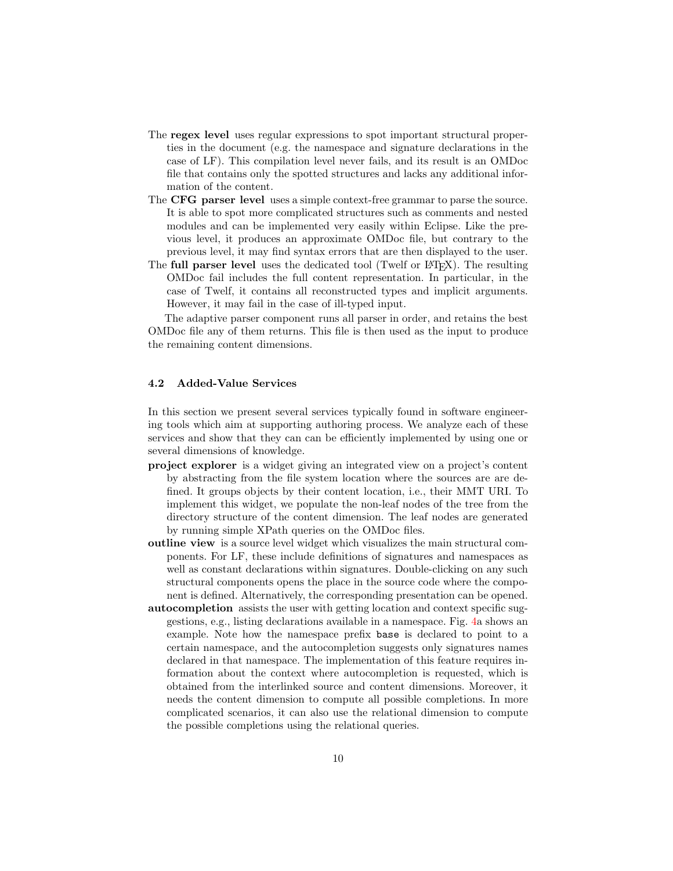- The regex level uses regular expressions to spot important structural properties in the document (e.g. the namespace and signature declarations in the case of LF). This compilation level never fails, and its result is an OMDoc file that contains only the spotted structures and lacks any additional information of the content.
- The CFG parser level uses a simple context-free grammar to parse the source. It is able to spot more complicated structures such as comments and nested modules and can be implemented very easily within Eclipse. Like the previous level, it produces an approximate OMDoc file, but contrary to the previous level, it may find syntax errors that are then displayed to the user.
- The full parser level uses the dedicated tool (Twelf or LAT<sub>EX</sub>). The resulting OMDoc fail includes the full content representation. In particular, in the case of Twelf, it contains all reconstructed types and implicit arguments. However, it may fail in the case of ill-typed input.

The adaptive parser component runs all parser in order, and retains the best OMDoc file any of them returns. This file is then used as the input to produce the remaining content dimensions.

## <span id="page-9-0"></span>4.2 Added-Value Services

In this section we present several services typically found in software engineering tools which aim at supporting authoring process. We analyze each of these services and show that they can can be efficiently implemented by using one or several dimensions of knowledge.

- project explorer is a widget giving an integrated view on a project's content by abstracting from the file system location where the sources are are defined. It groups objects by their content location, i.e., their MMT URI. To implement this widget, we populate the non-leaf nodes of the tree from the directory structure of the content dimension. The leaf nodes are generated by running simple XPath queries on the OMDoc files.
- outline view is a source level widget which visualizes the main structural components. For LF, these include definitions of signatures and namespaces as well as constant declarations within signatures. Double-clicking on any such structural components opens the place in the source code where the component is defined. Alternatively, the corresponding presentation can be opened.
- autocompletion assists the user with getting location and context specific suggestions, e.g., listing declarations available in a namespace. Fig. [4a](#page-10-1) shows an example. Note how the namespace prefix base is declared to point to a certain namespace, and the autocompletion suggests only signatures names declared in that namespace. The implementation of this feature requires information about the context where autocompletion is requested, which is obtained from the interlinked source and content dimensions. Moreover, it needs the content dimension to compute all possible completions. In more complicated scenarios, it can also use the relational dimension to compute the possible completions using the relational queries.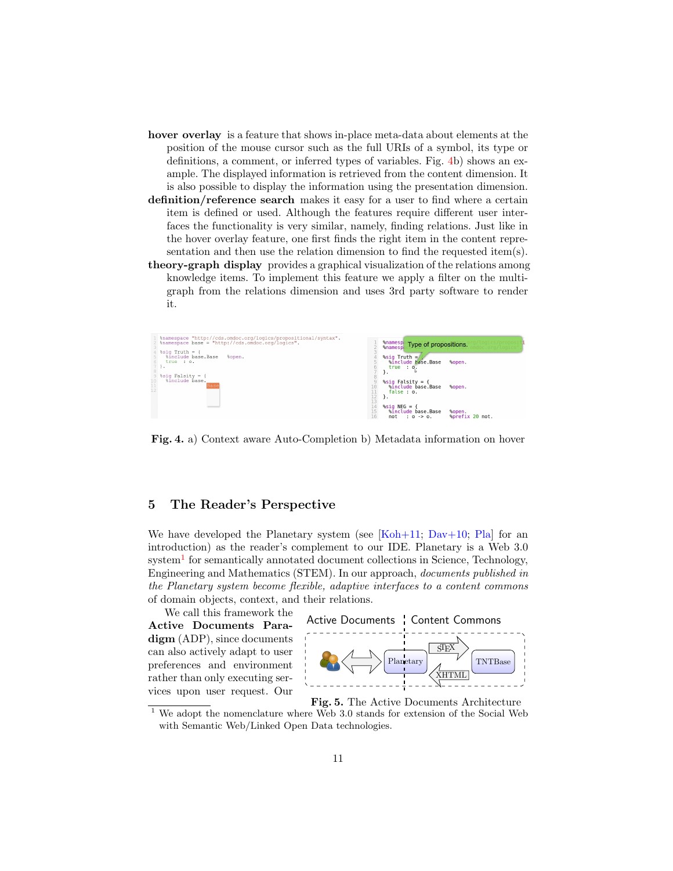- hover overlay is a feature that shows in-place meta-data about elements at the position of the mouse cursor such as the full URIs of a symbol, its type or definitions, a comment, or inferred types of variables. Fig. [4b](#page-10-1)) shows an example. The displayed information is retrieved from the content dimension. It is also possible to display the information using the presentation dimension.
- definition/reference search makes it easy for a user to find where a certain item is defined or used. Although the features require different user interfaces the functionality is very similar, namely, finding relations. Just like in the hover overlay feature, one first finds the right item in the content representation and then use the relation dimension to find the requested item(s).
- theory-graph display provides a graphical visualization of the relations among knowledge items. To implement this feature we apply a filter on the multigraph from the relations dimension and uses 3rd party software to render it.



<span id="page-10-1"></span>Fig. 4. a) Context aware Auto-Completion b) Metadata information on hover

## <span id="page-10-0"></span>5 The Reader's Perspective

We have developed the Planetary system (see  $[Koh+11; Dav+10; Pla]$  $[Koh+11; Dav+10; Pla]$  $[Koh+11; Dav+10; Pla]$  $[Koh+11; Dav+10; Pla]$  $[Koh+11; Dav+10; Pla]$  for an introduction) as the reader's complement to our IDE. Planetary is a Web 3.0 system<sup>[1](#page-10-2)</sup> for semantically annotated document collections in Science, Technology, Engineering and Mathematics (STEM). In our approach, documents published in the Planetary system become flexible, adaptive interfaces to a content commons of domain objects, context, and their relations.

We call this framework the

Active Documents Paradigm (ADP), since documents can also actively adapt to user preferences and environment rather than only executing services upon user request. Our



<span id="page-10-2"></span>Fig. 5. The Active Documents Architecture  $^1$  We adopt the nomenclature where Web 3.0 stands for extension of the Social Web  $\,$ with Semantic Web/Linked Open Data technologies.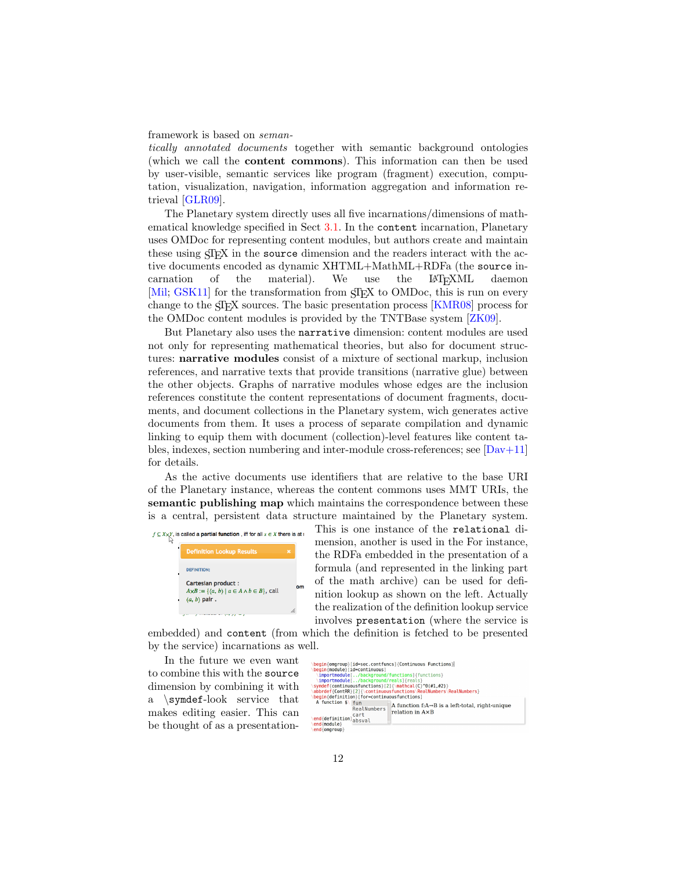#### framework is based on seman-

tically annotated documents together with semantic background ontologies (which we call the content commons). This information can then be used by user-visible, semantic services like program (fragment) execution, computation, visualization, navigation, information aggregation and information retrieval [\[GLR09\]](#page-13-2).

The Planetary system directly uses all five incarnations/dimensions of mathematical knowledge specified in Sect [3.1.](#page-3-1) In the content incarnation, Planetary uses OMDoc for representing content modules, but authors create and maintain these using  $SIFX$  in the source dimension and the readers interact with the active documents encoded as dynamic XHTML+MathML+RDFa (the source incarnation of the material). We use the LATEXML daemon [\[Mil;](#page-14-9) [GSK11\]](#page-13-5) for the transformation from  $\langle T_F X \rangle$  to OMDoc, this is run on every change to the STEX sources. The basic presentation process [\[KMR08\]](#page-13-9) process for the OMDoc content modules is provided by the TNTBase system [\[ZK09\]](#page-14-10).

But Planetary also uses the narrative dimension: content modules are used not only for representing mathematical theories, but also for document structures: narrative modules consist of a mixture of sectional markup, inclusion references, and narrative texts that provide transitions (narrative glue) between the other objects. Graphs of narrative modules whose edges are the inclusion references constitute the content representations of document fragments, documents, and document collections in the Planetary system, wich generates active documents from them. It uses a process of separate compilation and dynamic linking to equip them with document (collection)-level features like content tables, indexes, section numbering and inter-module cross-references; see  $[Dav+11]$ for details.

As the active documents use identifiers that are relative to the base URI of the Planetary instance, whereas the content commons uses MMT URIs, the semantic publishing map which maintains the correspondence between these is a central, persistent data structure maintained by the Planetary system.

| $\subseteq X \times Y$ , is called a <b>partial function</b> , iff for all $x \in X$ there is at a         |    |
|------------------------------------------------------------------------------------------------------------|----|
| <b>Definition Lookup Results</b>                                                                           | ×  |
| <b>DEFINITION:</b>                                                                                         |    |
| <b>Cartesian product:</b><br>$A\times B := \{(a, b) \mid a \in A \land b \in B\}$ , call<br>$(a, b)$ pair. | nm |
|                                                                                                            |    |

 $\overline{f}$ 

This is one instance of the relational dimension, another is used in the For instance, the RDFa embedded in the presentation of a formula (and represented in the linking part of the math archive) can be used for definition lookup as shown on the left. Actually the realization of the definition lookup service involves presentation (where the service is

embedded) and content (from which the definition is fetched to be presented by the service) incarnations as well.

In the future we even want to combine this with the source dimension by combining it with a \symdef-look service that makes editing easier. This can be thought of as a presentation-

| begin{omgroup}[id=sec.contfuncs]{Continuous Functions}<br>begin{module}[id=continuous]<br>(importmodule[/background/functions]{functions}<br>importmodule[/background/reals]{reals} |  |  |  |
|-------------------------------------------------------------------------------------------------------------------------------------------------------------------------------------|--|--|--|
| symdef{continuousfunctions}[2]{\mathcal{C}^0(#1,#2)}<br>abbrdef{ContRR}[2]{\continuousfunctions\RealNumbers\RealNumbers}                                                            |  |  |  |
|                                                                                                                                                                                     |  |  |  |
| begin{definition}[for=continuousfunctions]                                                                                                                                          |  |  |  |
| A function \$\ fun<br>A function $f: A \rightarrow B$ is a left-total, right-unique<br>RealNumbers<br>relation in $A \times B$<br>cart                                              |  |  |  |
| end{definition} <sub>absval</sub><br>end{module}                                                                                                                                    |  |  |  |
| end{omaroup}                                                                                                                                                                        |  |  |  |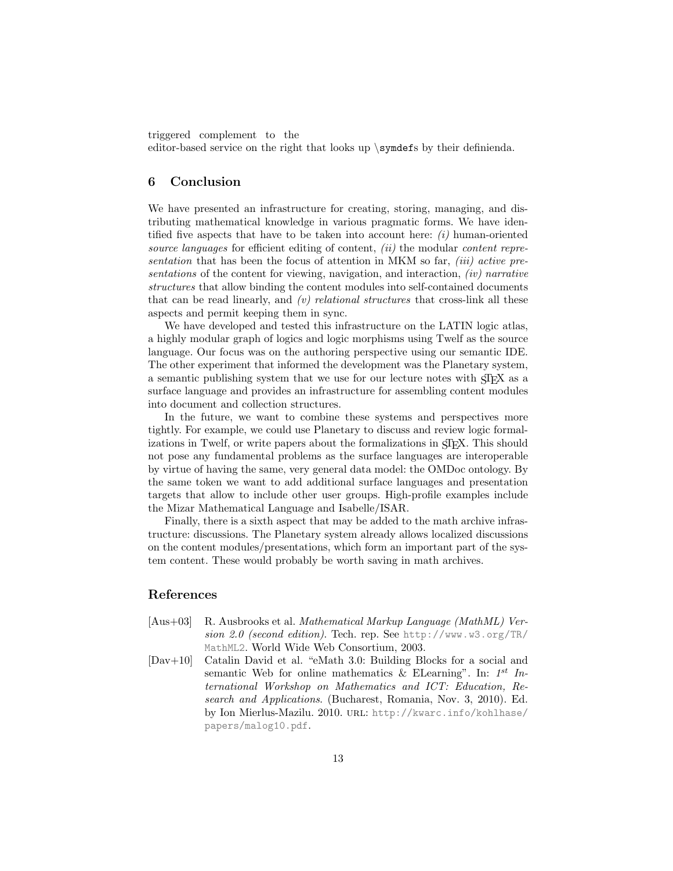triggered complement to the editor-based service on the right that looks up \symdefs by their definienda.

# 6 Conclusion

We have presented an infrastructure for creating, storing, managing, and distributing mathematical knowledge in various pragmatic forms. We have identified five aspects that have to be taken into account here:  $(i)$  human-oriented source languages for efficient editing of content, *(ii)* the modular *content repre*sentation that has been the focus of attention in MKM so far, *(iii)* active presentations of the content for viewing, navigation, and interaction, *(iv) narrative* structures that allow binding the content modules into self-contained documents that can be read linearly, and  $(v)$  relational structures that cross-link all these aspects and permit keeping them in sync.

We have developed and tested this infrastructure on the LATIN logic atlas, a highly modular graph of logics and logic morphisms using Twelf as the source language. Our focus was on the authoring perspective using our semantic IDE. The other experiment that informed the development was the Planetary system, a semantic publishing system that we use for our lecture notes with  $\frac{1}{2}E^X$  as a surface language and provides an infrastructure for assembling content modules into document and collection structures.

In the future, we want to combine these systems and perspectives more tightly. For example, we could use Planetary to discuss and review logic formalizations in Twelf, or write papers about the formalizations in  $\langle T_F X, T \rangle$  this should not pose any fundamental problems as the surface languages are interoperable by virtue of having the same, very general data model: the OMDoc ontology. By the same token we want to add additional surface languages and presentation targets that allow to include other user groups. High-profile examples include the Mizar Mathematical Language and Isabelle/ISAR.

Finally, there is a sixth aspect that may be added to the math archive infrastructure: discussions. The Planetary system already allows localized discussions on the content modules/presentations, which form an important part of the system content. These would probably be worth saving in math archives.

# References

- <span id="page-12-0"></span>[Aus+03] R. Ausbrooks et al. Mathematical Markup Language (MathML) Version 2.0 (second edition). Tech. rep. See [http://www.w3.org/TR/](http://www.w3.org/TR/MathML2) [MathML2](http://www.w3.org/TR/MathML2). World Wide Web Consortium, 2003.
- <span id="page-12-1"></span>[Dav+10] Catalin David et al. "eMath 3.0: Building Blocks for a social and semantic Web for online mathematics & ELearning". In:  $1^{st}$  International Workshop on Mathematics and ICT: Education, Research and Applications. (Bucharest, Romania, Nov. 3, 2010). Ed. by Ion Mierlus-Mazilu. 2010. URL: [http://kwarc.info/kohlhase/](http://kwarc.info/kohlhase/papers/malog10.pdf) [papers/malog10.pdf](http://kwarc.info/kohlhase/papers/malog10.pdf).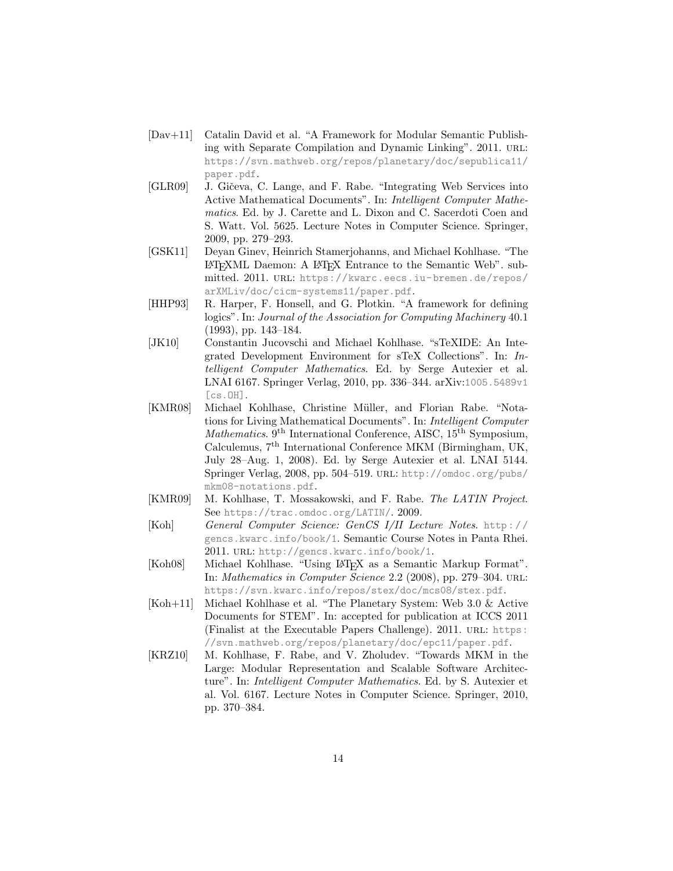- <span id="page-13-10"></span>[Dav+11] Catalin David et al. "A Framework for Modular Semantic Publishing with Separate Compilation and Dynamic Linking". 2011. URL: [https://svn.mathweb.org/repos/planetary/doc/sepublica11/](https://svn.mathweb.org/repos/planetary/doc/sepublica11/paper.pdf) [paper.pdf](https://svn.mathweb.org/repos/planetary/doc/sepublica11/paper.pdf).
- <span id="page-13-2"></span>[GLR09] J. Gičeva, C. Lange, and F. Rabe. "Integrating Web Services into Active Mathematical Documents". In: Intelligent Computer Mathematics. Ed. by J. Carette and L. Dixon and C. Sacerdoti Coen and S. Watt. Vol. 5625. Lecture Notes in Computer Science. Springer, 2009, pp. 279–293.
- <span id="page-13-5"></span>[GSK11] Deyan Ginev, Heinrich Stamerjohanns, and Michael Kohlhase. "The LATEXML Daemon: A LATEX Entrance to the Semantic Web". submitted. 2011. URL: https://kwarc.eecs.iu-bremen.de/repos/ [arXMLiv/doc/cicm-systems11/paper.pdf](https://kwarc.eecs.iu-bremen.de/repos/arXMLiv/doc/cicm-systems11/paper.pdf).
- <span id="page-13-1"></span>[HHP93] R. Harper, F. Honsell, and G. Plotkin. "A framework for defining logics". In: Journal of the Association for Computing Machinery 40.1 (1993), pp. 143–184.
- <span id="page-13-7"></span>[JK10] Constantin Jucovschi and Michael Kohlhase. "sTeXIDE: An Integrated Development Environment for sTeX Collections". In: Intelligent Computer Mathematics. Ed. by Serge Autexier et al. LNAI 6167. Springer Verlag, 2010, pp. 336–344. arXiv:[1005.5489v1](http://arxiv.org/abs/1005.5489v1)  $[cs.0H]$ .
- <span id="page-13-9"></span>[KMR08] Michael Kohlhase, Christine M¨uller, and Florian Rabe. "Notations for Living Mathematical Documents". In: Intelligent Computer Mathematics. 9<sup>th</sup> International Conference, AISC, 15<sup>th</sup> Symposium, Calculemus, 7th International Conference MKM (Birmingham, UK, July 28–Aug. 1, 2008). Ed. by Serge Autexier et al. LNAI 5144. Springer Verlag, 2008, pp. 504–519. url: [http://omdoc.org/pubs/](http://omdoc.org/pubs/mkm08-notations.pdf) [mkm08-notations.pdf](http://omdoc.org/pubs/mkm08-notations.pdf).
- <span id="page-13-0"></span>[KMR09] M. Kohlhase, T. Mossakowski, and F. Rabe. The LATIN Project. See <https://trac.omdoc.org/LATIN/>. 2009.
- <span id="page-13-3"></span>[Koh] General Computer Science: GenCS I/II Lecture Notes. [http : / /](http://gencs.kwarc.info/book/1) [gencs.kwarc.info/book/1](http://gencs.kwarc.info/book/1). Semantic Course Notes in Panta Rhei. 2011. url: <http://gencs.kwarc.info/book/1>.
- <span id="page-13-4"></span>[Koh08] Michael Kohlhase. "Using LATEX as a Semantic Markup Format". In: Mathematics in Computer Science 2.2 (2008), pp. 279–304. url: <https://svn.kwarc.info/repos/stex/doc/mcs08/stex.pdf>.
- <span id="page-13-8"></span>[Koh+11] Michael Kohlhase et al. "The Planetary System: Web 3.0 & Active Documents for STEM". In: accepted for publication at ICCS 2011 (Finalist at the Executable Papers Challenge). 2011. URL: [https:](https://svn.mathweb.org/repos/planetary/doc/epc11/paper.pdf) [//svn.mathweb.org/repos/planetary/doc/epc11/paper.pdf](https://svn.mathweb.org/repos/planetary/doc/epc11/paper.pdf).
- <span id="page-13-6"></span>[KRZ10] M. Kohlhase, F. Rabe, and V. Zholudev. "Towards MKM in the Large: Modular Representation and Scalable Software Architecture". In: *Intelligent Computer Mathematics*. Ed. by S. Autexier et al. Vol. 6167. Lecture Notes in Computer Science. Springer, 2010, pp. 370–384.